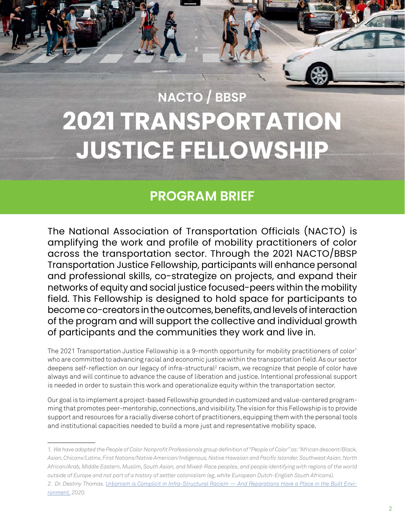# **2021 TRANSPORTATION JUSTICE FELLOWSHIP NACTO / BBSP**

**PROGRAM BRIEF** 

2021 NACTOR AND DESCRIPTION OF REAL PROPERTY.

# **PROGRAM BRIEF**

The National Association of Transportation Officials (NACTO) is amplifying the work and profile of mobility practitioners of color across the transportation sector. Through the 2021 NACTO/BBSP Transportation Justice Fellowship, participants will enhance personal and professional skills, co-strategize on projects, and expand their networks of equity and social justice focused-peers within the mobility field. This Fellowship is designed to hold space for participants to become co-creators in the outcomes, benefits, and levels of interaction of the program and will support the collective and individual growth of participants and the communities they work and live in.

The 2021 Transportation Justice Fellowship is a 9-month opportunity for mobility practitioners of color<sup>1</sup> who are committed to advancing racial and economic justice within the transportation field. As our sector deepens self-reflection on our legacy of infra-structural<sup>2</sup> racism, we recognize that people of color have always and will continue to advance the cause of liberation and justice. Intentional professional support is needed in order to sustain this work and operationalize equity within the transportation sector.

Our goal is to implement a project-based Fellowship grounded in customized and value-centered programming that promotes peer-mentorship, connections, and visibility. The vision for this Fellowship is to provide support and resources for a racially diverse cohort of practitioners, equipping them with the personal tools and institutional capacities needed to build a more just and representative mobility space.

*<sup>1.</sup> We have adopted the People of Color Nonprofit Professionals group definition of "People of Color" as: "African descent/Black, Asian, Chicanx/Latinx, First Nations/Native American/Indigenous, Native Hawaiian and Pacific Islander, Southwest Asian, North African/Arab, Middle Eastern, Muslim, South Asian, and Mixed-Race peoples, and people identifying with regions of the world outside of Europe and not part of a history of settler colonialism (eg, white European Dutch-English South Africans).*

*<sup>2.</sup> Dr. Destiny Thomas. [Urbanism is Complicit in Infra-Structural Racism — And Reparations Have a Place in the Built Envi](https://usa.streetsblog.org/2020/07/27/opinion-urbanism-is-complicit-in-infra-structural-racism-and-reparations-have-a-place-in-the-built-environment/)[ronment.](https://usa.streetsblog.org/2020/07/27/opinion-urbanism-is-complicit-in-infra-structural-racism-and-reparations-have-a-place-in-the-built-environment/) 2020.*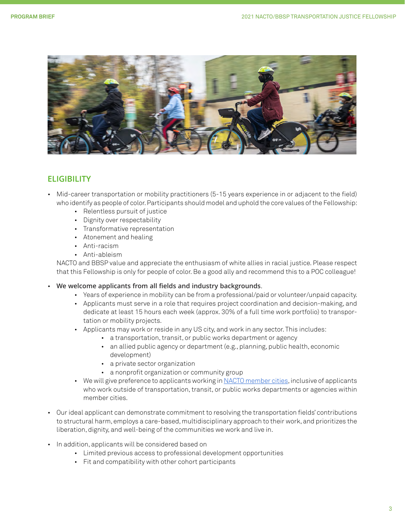

### **ELIGIBILITY**

- Mid-career transportation or mobility practitioners (5-15 years experience in or adjacent to the field) who identify as people of color. Participants should model and uphold the core values of the Fellowship:
	- Relentless pursuit of justice
	- Dignity over respectability
	- Transformative representation
	- Atonement and healing
	- Anti-racism
	- Anti-ableism

NACTO and BBSP value and appreciate the enthusiasm of white allies in racial justice. Please respect that this Fellowship is only for people of color. Be a good ally and recommend this to a POC colleague!

- **We welcome applicants from all fields and industry backgrounds**
	- Years of experience in mobility can be from a professional/paid or volunteer/unpaid capacity.
	- Applicants must serve in a role that requires project coordination and decision-making, and dedicate at least 15 hours each week (approx. 30% of a full time work portfolio) to transportation or mobility projects.
	- Applicants may work or reside in any US city, and work in any sector. This includes:
		- a transportation, transit, or public works department or agency
		- an allied public agency or department (e.g., planning, public health, economic development)
		- a private sector organization
		- a nonprofit organization or community group
	- We will give preference to applicants working in NACTO member cities, inclusive of applicants who work outside of transportation, transit, or public works departments or agencies within member cities.
- Our ideal applicant can demonstrate commitment to resolving the transportation fields' contributions to structural harm, employs a care-based, multidisciplinary approach to their work, and prioritizes the liberation, dignity, and well-being of the communities we work and live in.
- In addition, applicants will be considered based on
	- Limited previous access to professional development opportunities
	- Fit and compatibility with other cohort participants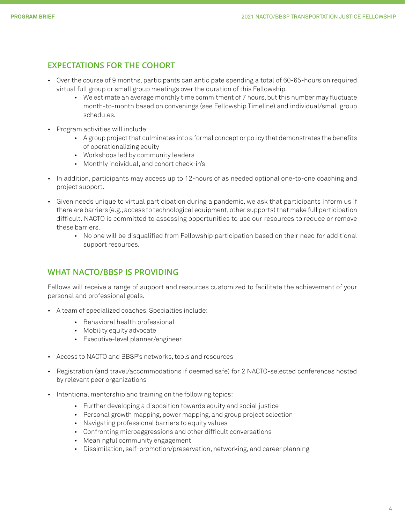#### **EXPECTATIONS FOR THE COHORT**

- Over the course of 9 months, participants can anticipate spending a total of 60-65-hours on required virtual full group or small group meetings over the duration of this Fellowship.
	- We estimate an average monthly time commitment of 7 hours, but this number may fluctuate month-to-month based on convenings (see Fellowship Timeline) and individual/small group schedules.
- Program activities will include:
	- A group project that culminates into a formal concept or policy that demonstrates the benefits of operationalizing equity
	- Workshops led by community leaders
	- Monthly individual, and cohort check-in's
- In addition, participants may access up to 12-hours of as needed optional one-to-one coaching and project support.
- Given needs unique to virtual participation during a pandemic, we ask that participants inform us if there are barriers (e.g., access to technological equipment, other supports) that make full participation difficult. NACTO is committed to assessing opportunities to use our resources to reduce or remove these barriers.
	- No one will be disqualified from Fellowship participation based on their need for additional support resources.

#### **WHAT NACTO/BBSP IS PROVIDING**

Fellows will receive a range of support and resources customized to facilitate the achievement of your personal and professional goals.

- A team of specialized coaches. Specialties include:
	- Behavioral health professional
	- Mobility equity advocate
	- Executive-level planner/engineer
- Access to NACTO and BBSP's networks, tools and resources
- Registration (and travel/accommodations if deemed safe) for 2 NACTO-selected conferences hosted by relevant peer organizations
- Intentional mentorship and training on the following topics:
	- Further developing a disposition towards equity and social justice
	- Personal growth mapping, power mapping, and group project selection
	- Navigating professional barriers to equity values
	- Confronting microaggressions and other difficult conversations
	- Meaningful community engagement
	- Dissimilation, self-promotion/preservation, networking, and career planning